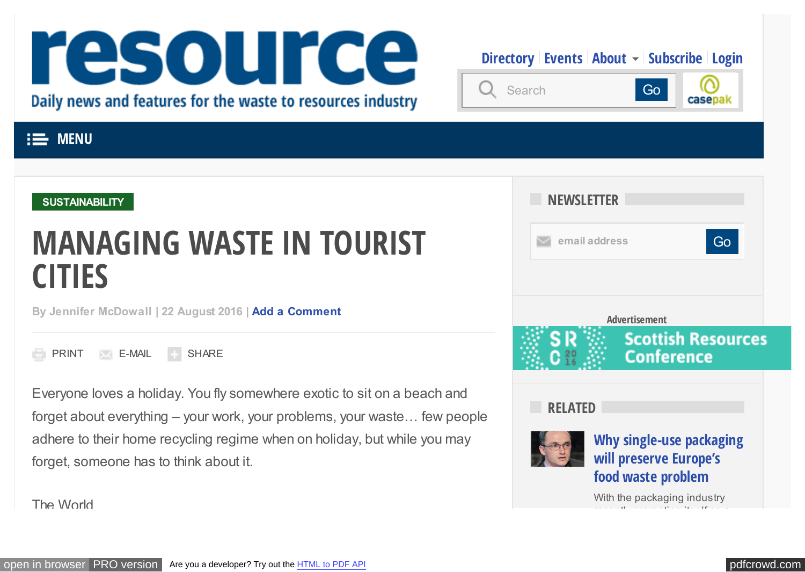# <span id="page-0-0"></span>resource Daily news and features for the waste to resources industry

**[Directory](http://resource.co/directory) [Events](http://resource.co/events) [About](http://resource.co/about)**  $\sim$  **[Subscribe](http://resource.co/shop/subscribe) [Login](http://resource.co/user/login)** 



# **EXAMPLE MENU**

#### **[SUSTAINABILITY](http://resource.co/taxonomy/term/44)**

# **MANAGING WASTE IN TOURIST CITIES**

**By Jennifer McDowall | 22 August 2016 | [Add a Comment](#page-8-0)**

PRINT **E-MAIL** SHARE

Everyone loves a holiday. You fly somewhere exotic to sit on a beach and forget about everything – your work, your problems, your waste… few people adhere to their home recycling regime when on holiday, but while you may forget, someone has to think about it.



The World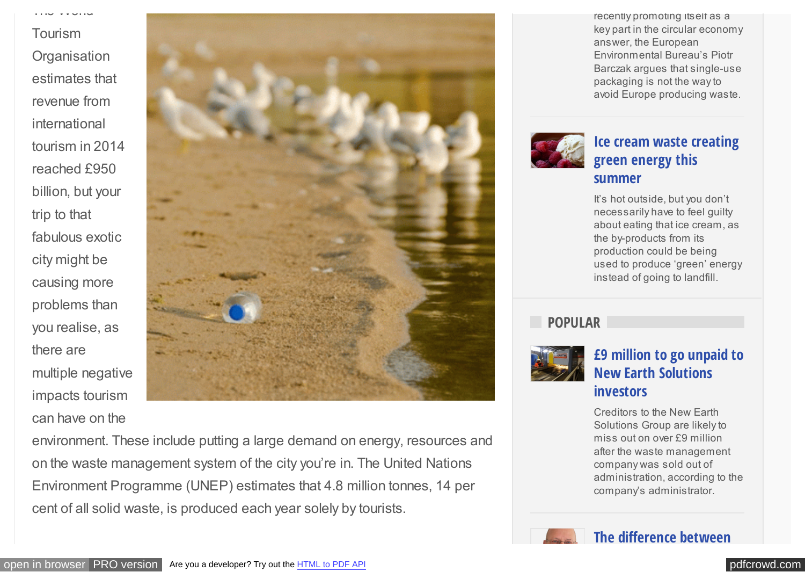Tourism **Organisation** estimates that revenue from international tourism in 2014 reached £950 billion, but your trip to that fabulous exotic city might be causing more problems than you realise, as there are multiple negative impacts tourism can have on the

The World



environment. These include putting a large demand on energy, resources and on the waste management system of the city you're in. The United Nations Environment Programme (UNEP) estimates that 4.8 million tonnes, 14 per cent of all solid waste, is produced each year solely by tourists.

recently promoting itself as a key part in the circular economy answer, the European Environmental Bureau's Piotr Barczak argues that single-use packaging is not the way to avoid Europe producing waste.



#### **[Ice cream waste creating](http://resource.co/article/ice-cream-waste-creating-green-energy-summer-11249) green energy this summer**

It's hot outside, but you don't necessarily have to feel guilty about eating that ice cream, as the by-products from its production could be being used to produce 'green' energy instead of going to landfill.

**POPULAR**



# **[£9 million to go unpaid to](http://resource.co/article/9-million-go-unpaid-new-earth-solutions-investors-11254) New Earth Solutions investors**

Creditors to the New Earth Solutions Group are likely to miss out on over £9 million after the waste management company was sold out of administration, according to the company's administrator.

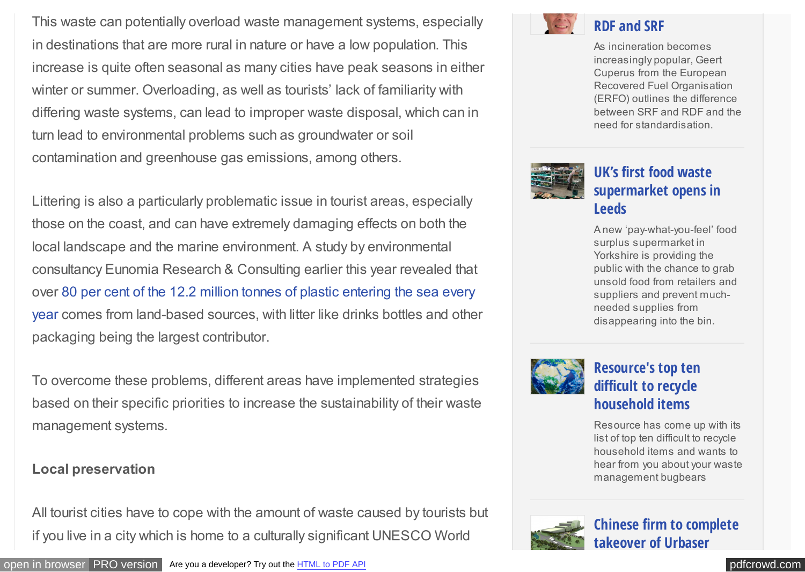This waste can potentially overload waste management systems, especially in destinations that are more rural in nature or have a low population. This increase is quite often seasonal as many cities have peak seasons in either winter or summer. Overloading, as well as tourists' lack of familiarity with differing waste systems, can lead to improper waste disposal, which can in turn lead to environmental problems such as groundwater or soil contamination and greenhouse gas emissions, among others.

Littering is also a particularly problematic issue in tourist areas, especially those on the coast, and can have extremely damaging effects on both the local landscape and the marine environment. A study by environmental consultancy Eunomia Research & Consulting earlier this year revealed that [over 80 per cent of the 12.2 million tonnes of plastic entering the sea every](http://resource.co/article/plastic-pollution-fight-should-start-beaches-11120) year comes from land-based sources, with litter like drinks bottles and other packaging being the largest contributor.

To overcome these problems, different areas have implemented strategies based on their specific priorities to increase the sustainability of their waste management systems.

#### **Local preservation**

All tourist cities have to cope with the amount of waste caused by tourists but if you live in a city which is home to a culturally significant UNESCO World



# **RDF and SRF**

As incineration becomes increasingly popular, Geert Cuperus from the European Recovered Fuel Organisation (ERFO) outlines the difference between SRF and RDF and the need for standardisation.



# **UK's first food waste [supermarket opens in](http://resource.co/article/uk-s-first-food-waste-supermarket-opens-leeds-11395) Leeds**

A new 'pay-what-you-feel' food surplus supermarket in Yorkshire is providing the public with the chance to grab unsold food from retailers and suppliers and prevent muchneeded supplies from disappearing into the bin.



# **[Resource's top ten](http://resource.co/article/Think_Tank/Resources_top_ten_difficult_recycle_household_items) difficult to recycle household items**

Resource has come up with its list of top ten difficult to recycle household items and wants to hear from you about your waste management bugbears

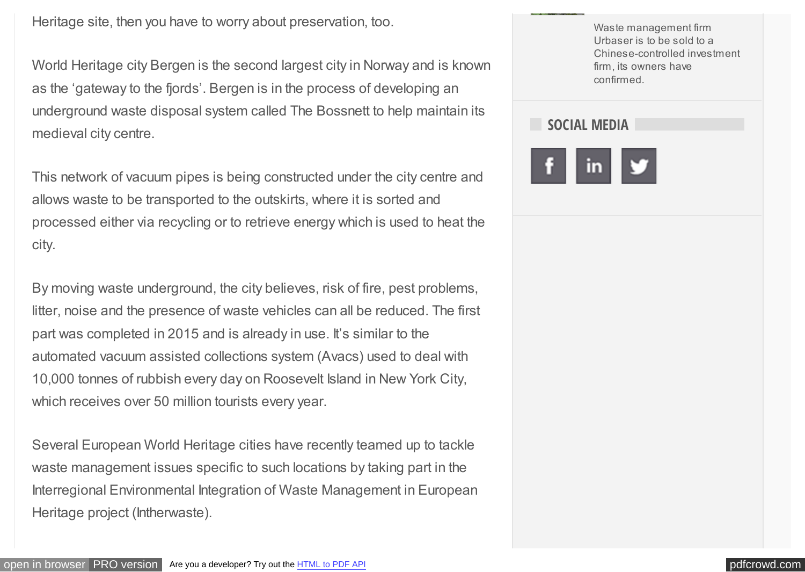Heritage site, then you have to worry about preservation, too.

World Heritage city Bergen is the second largest city in Norway and is known as the 'gateway to the fjords'. Bergen is in the process of developing an underground waste disposal system called The Bossnett to help maintain its medieval city centre.

This network of vacuum pipes is being constructed under the city centre and allows waste to be transported to the outskirts, where it is sorted and processed either via recycling or to retrieve energy which is used to heat the city.

By moving waste underground, the city believes, risk of fire, pest problems, litter, noise and the presence of waste vehicles can all be reduced. The first part was completed in 2015 and is already in use. It's similar to the automated vacuum assisted collections system (Avacs) used to deal with 10,000 tonnes of rubbish every day on Roosevelt Island in New York City, which receives over 50 million tourists every year.

Several European World Heritage cities have recently teamed up to tackle waste management issues specific to such locations by taking part in the Interregional Environmental Integration of Waste Management in European Heritage project (Intherwaste).

Waste management firm Urbaser is to be sold to a Chinese-controlled investment firm, its owners have confirmed.

# **SOCIAL MEDIA**

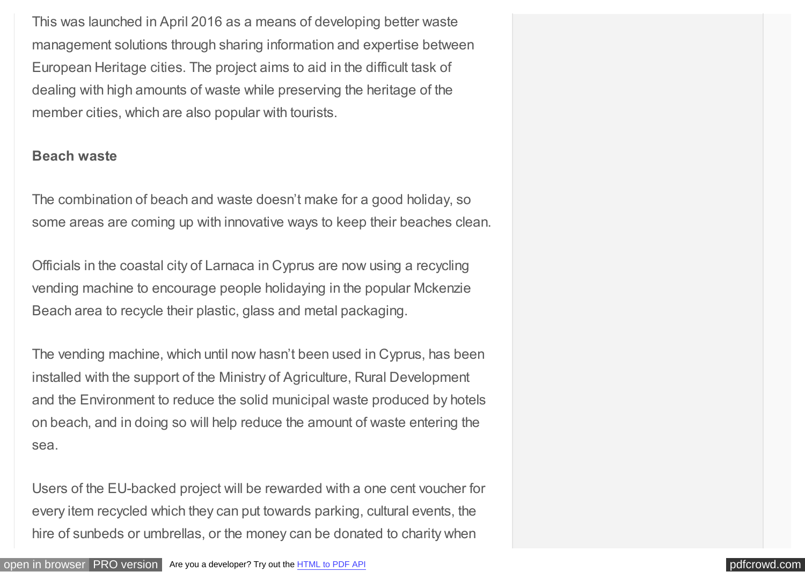This was launched in April 2016 as a means of developing better waste management solutions through sharing information and expertise between European Heritage cities. The project aims to aid in the difficult task of dealing with high amounts of waste while preserving the heritage of the member cities, which are also popular with tourists.

#### **Beach waste**

The combination of beach and waste doesn't make for a good holiday, so some areas are coming up with innovative ways to keep their beaches clean.

Officials in the coastal city of Larnaca in Cyprus are now using a recycling vending machine to encourage people holidaying in the popular Mckenzie Beach area to recycle their plastic, glass and metal packaging.

The vending machine, which until now hasn't been used in Cyprus, has been installed with the support of the Ministry of Agriculture, Rural Development and the Environment to reduce the solid municipal waste produced by hotels on beach, and in doing so will help reduce the amount of waste entering the sea.

Users of the EU-backed project will be rewarded with a one cent voucher for every item recycled which they can put towards parking, cultural events, the hire of sunbeds or umbrellas, or the money can be donated to charity when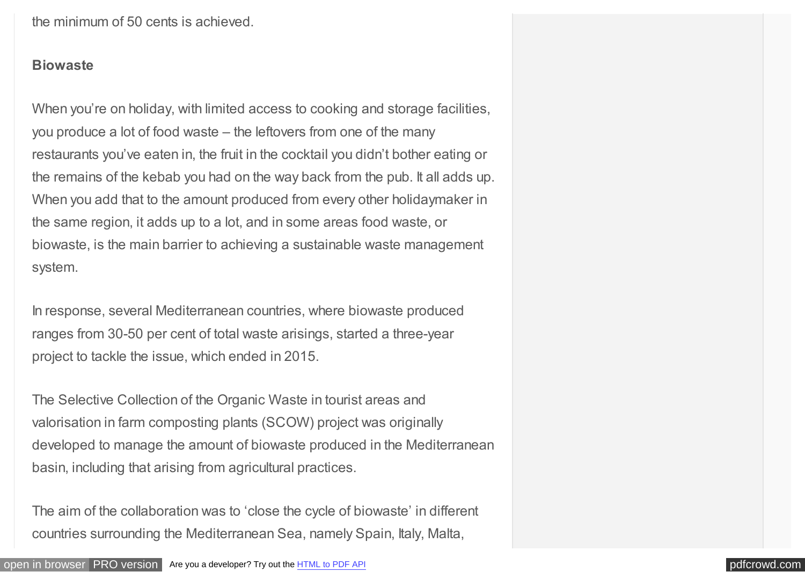the minimum of 50 cents is achieved.

#### **Biowaste**

When you're on holiday, with limited access to cooking and storage facilities, you produce a lot of food waste – the leftovers from one of the many restaurants you've eaten in, the fruit in the cocktail you didn't bother eating or the remains of the kebab you had on the way back from the pub. It all adds up. When you add that to the amount produced from every other holidaymaker in the same region, it adds up to a lot, and in some areas food waste, or biowaste, is the main barrier to achieving a sustainable waste management system.

In response, several Mediterranean countries, where biowaste produced ranges from 30-50 per cent of total waste arisings, started a three-year project to tackle the issue, which ended in 2015.

The Selective Collection of the Organic Waste in tourist areas and valorisation in farm composting plants (SCOW) project was originally developed to manage the amount of biowaste produced in the Mediterranean basin, including that arising from agricultural practices.

The aim of the collaboration was to 'close the cycle of biowaste' in different countries surrounding the Mediterranean Sea, namely Spain, Italy, Malta,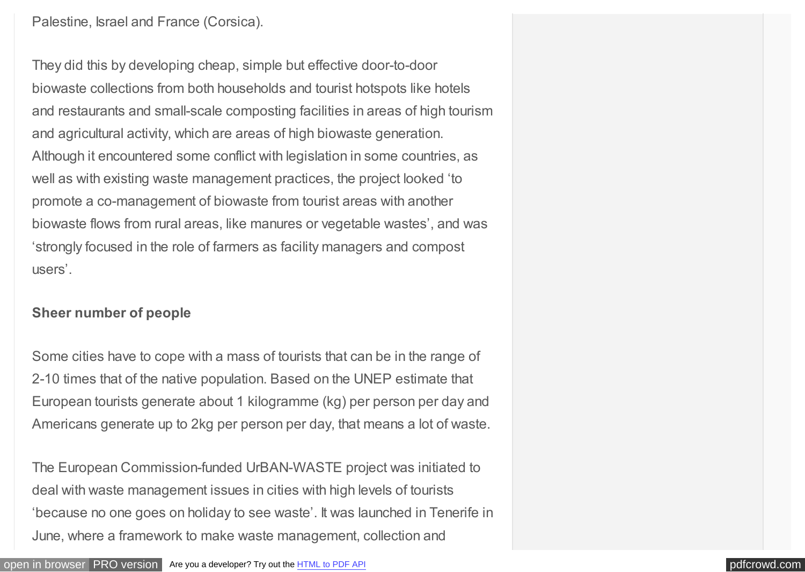Palestine, Israel and France (Corsica).

They did this by developing cheap, simple but effective door-to-door biowaste collections from both households and tourist hotspots like hotels and restaurants and small-scale composting facilities in areas of high tourism and agricultural activity, which are areas of high biowaste generation. Although it encountered some conflict with legislation in some countries, as well as with existing waste management practices, the project looked 'to promote a co-management of biowaste from tourist areas with another biowaste flows from rural areas, like manures or vegetable wastes', and was 'strongly focused in the role of farmers as facility managers and compost users'.

#### **Sheer number of people**

Some cities have to cope with a mass of tourists that can be in the range of 2-10 times that of the native population. Based on the UNEP estimate that European tourists generate about 1 kilogramme (kg) per person per day and Americans generate up to 2kg per person per day, that means a lot of waste.

The European Commission-funded UrBAN-WASTE project was initiated to deal with waste management issues in cities with high levels of tourists 'because no one goes on holiday to see waste'. It was launched in Tenerife in June, where a framework to make waste management, collection and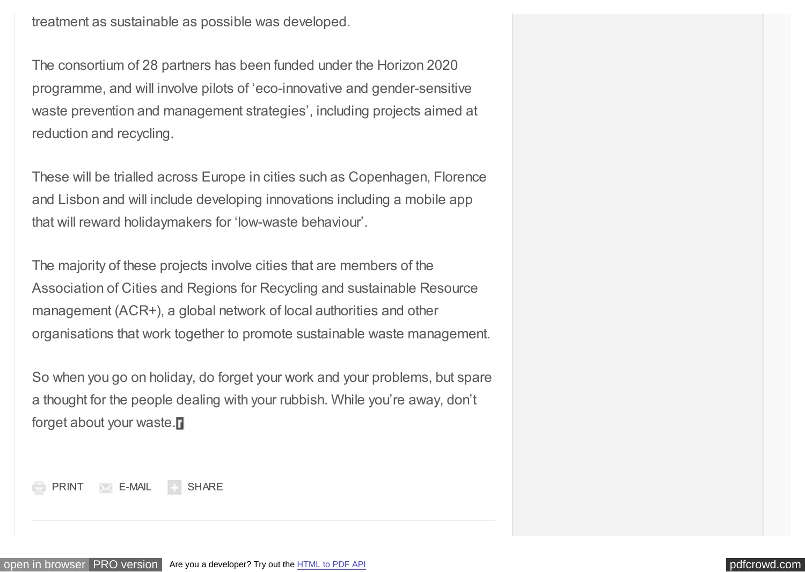treatment as sustainable as possible was developed.

The consortium of 28 partners has been funded under the Horizon 2020 programme, and will involve pilots of 'eco-innovative and gender-sensitive waste prevention and management strategies', including projects aimed at reduction and recycling.

These will be trialled across Europe in cities such as Copenhagen, Florence and Lisbon and will include developing innovations including a mobile app that will reward holidaymakers for 'low-waste behaviour'.

The majority of these projects involve cities that are members of the Association of Cities and Regions for Recycling and sustainable Resource management (ACR+), a global network of local authorities and other organisations that work together to promote sustainable waste management.

So when you go on holiday, do forget your work and your problems, but spare a thought for the people dealing with your rubbish. While you're away, don't forget about your waste.

[PRINT](#page-0-0) [E-MAIL](#page-0-0) [SHARE](#page-0-0)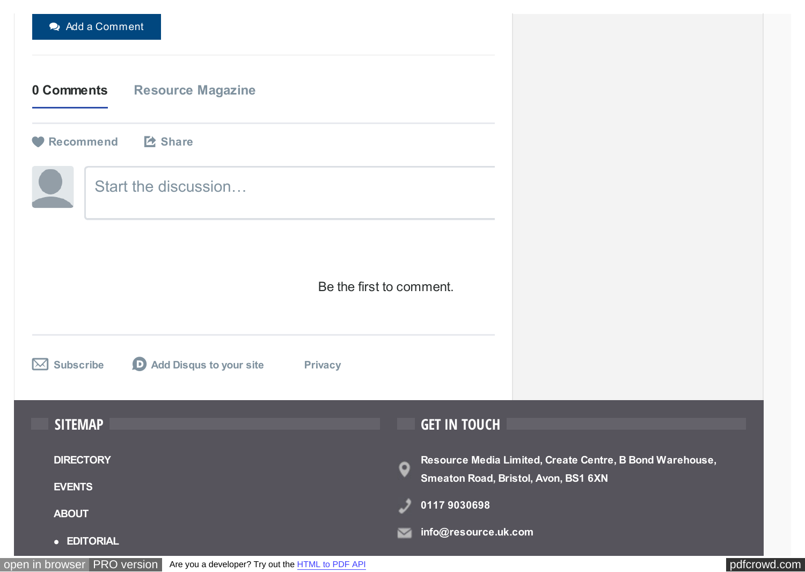<span id="page-8-0"></span>

| Add a Comment                                                                         |                                                                                                                      |
|---------------------------------------------------------------------------------------|----------------------------------------------------------------------------------------------------------------------|
| 0 Comments<br><b>Resource Magazine</b>                                                |                                                                                                                      |
| E Share<br>Recommend                                                                  |                                                                                                                      |
| Start the discussion                                                                  |                                                                                                                      |
| Be the first to comment.                                                              |                                                                                                                      |
| <b>D</b> Add Disqus to your site<br><b>Subscribe</b><br>$\boxtimes$<br><b>Privacy</b> |                                                                                                                      |
| <b>SITEMAP</b>                                                                        | <b>GET IN TOUCH</b>                                                                                                  |
| <b>DIRECTORY</b><br><b>EVENTS</b><br><b>ABOUT</b>                                     | Resource Media Limited, Create Centre, B Bond Warehouse,<br>o<br>Smeaton Road, Bristol, Avon, BS1 6XN<br>01179030698 |
| • EDITORIAL                                                                           | info@resource.uk.com<br>び                                                                                            |